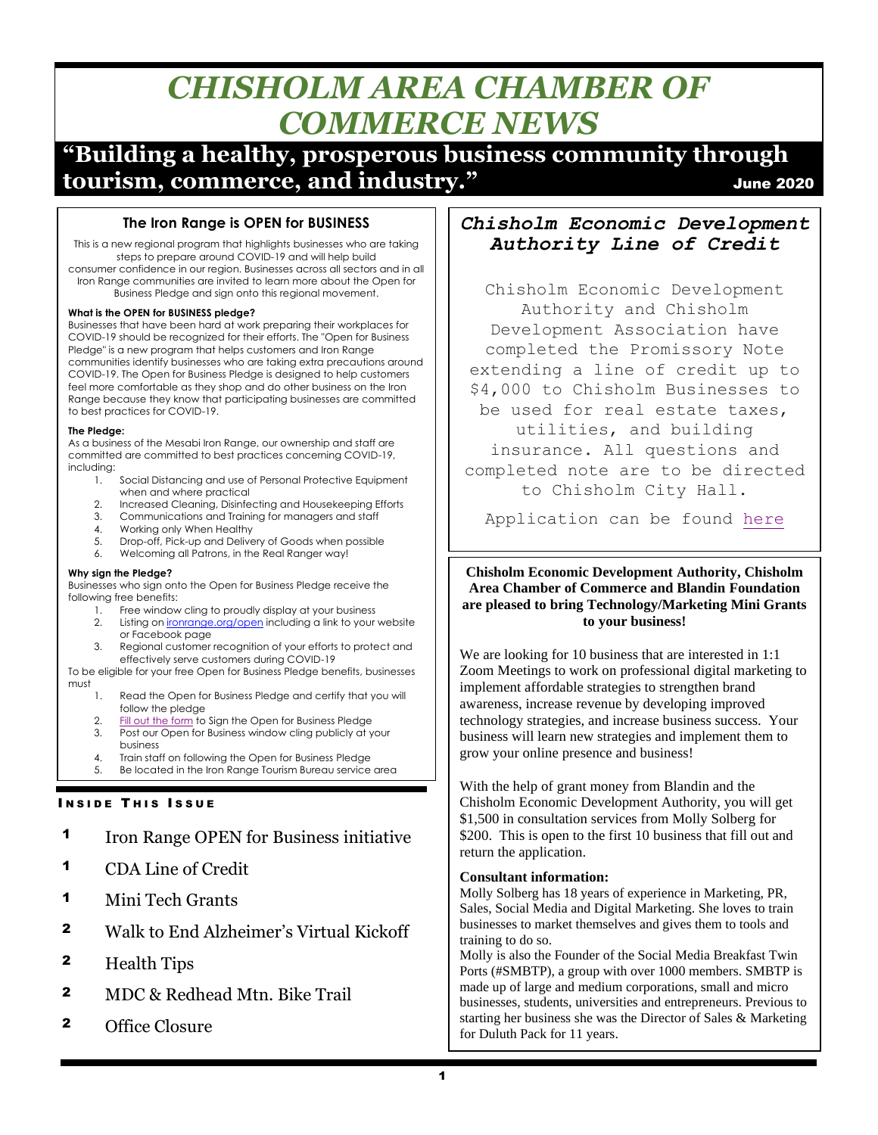# *CHISHOLM AREA CHAMBER OF COMMERCE NEWS*

# **"Building a healthy, prosperous business community through tourism, commerce, and industry."** The commerce of the set of the set of the set of the set of the set of the set of the set of the set of the set of the set of the set of the set of the set of the set of the set of the s

# **The Iron Range is OPEN for BUSINESS**

This is a new regional program that highlights businesses who are taking steps to prepare around COVID-19 and will help build consumer confidence in our region. Businesses across all sectors and in all Iron Range communities are invited to [learn more](https://ironrange.us2.list-manage.com/track/click?u=2429a687dcfc852a47f66fca3&id=e9b0cf920d&e=d862747af7) about the Open for Business Pledge and sign onto this regional movement.

#### **What is the OPEN for BUSINESS pledge?**

Businesses that have been hard at work preparing their workplaces for COVID-19 should be recognized for their efforts. The "Open for Business Pledge" is a new program that helps customers and Iron Range communities identify businesses who are taking extra precautions around COVID-19. The Open for Business Pledge is designed to help customers feel more comfortable as they shop and do other business on the Iron Range because they know that participating businesses are committed to best practices for COVID-19.

#### **The Pledge:**

As a business of the Mesabi Iron Range, our ownership and staff are committed are committed to best practices concerning COVID-19, including:

- 1. Social Distancing and use of Personal Protective Equipment when and where practical
- 2. Increased Cleaning, Disinfecting and Housekeeping Efforts
- 3. Communications and Training for managers and staff
- 4. Working only When Healthy
- 5. Drop-off, Pick-up and Delivery of Goods when possible
- 6. Welcoming all Patrons, in the Real Ranger way!

#### **Why sign the Pledge?**

Businesses who sign onto the Open for Business Pledge receive the following free benefits:

- 1. Free window cling to proudly display at your business
- 2. Listing on *[ironrange.org/open](https://ironrange.us2.list-manage.com/track/click?u=2429a687dcfc852a47f66fca3&id=ea16a76794&e=d862747af7)* including a link to your website or Facebook page
- 3. Regional customer recognition of your efforts to protect and effectively serve customers during COVID-19

#### To be eligible for your free Open for Business Pledge benefits, businesses must

- 1. Read the Open for Business Pledge and certify that you will follow the pledge
- 2. [Fill out the form](https://ironrange.us2.list-manage.com/track/click?u=2429a687dcfc852a47f66fca3&id=0fd4dfd394&e=d862747af7) to Sign the Open for Business Pledge
- 3. Post our Open for Business window cling publicly at your business 4. Train staff on following the Open for Business Pledge
- 5. Be located in the Iron Range Tourism Bureau service area

# **INSIDE THIS ISSUE**

- 1 Iron Range OPEN for Business initiative
- 1 CDA Line of Credit
- 1 Mini Tech Grants
- 2 Walk to End Alzheimer's Virtual Kickoff
- 2 Health Tips
- 2 MDC & Redhead Mtn. Bike Trail
- 2 Office Closure

# *Chisholm Economic Development Authority Line of Credit*

Chisholm Economic Development Authority and Chisholm Development Association have completed the Promissory Note extending a line of credit up to \$4,000 to Chisholm Businesses to be used for real estate taxes, utilities, and building insurance. All questions and completed note are to be directed to Chisholm City Hall.

Application can be found [here](https://www.ci.chisholm.mn.us/vertical/sites/%7B89A03091-259E-44A3-B82B-4ACB22D45D19%7D/uploads/Line_of_Credit.pdf?fbclid=IwAR0oH6v4hlKyJNYRJx1kL3zvI4IXcNVFJjjCqDoIxdP3CIls6TWbvGbPO44)

#### **Chisholm Economic Development Authority, Chisholm Area Chamber of Commerce and Blandin Foundation are pleased to bring Technology/Marketing Mini Grants to your business!**

We are looking for 10 business that are interested in 1:1 Zoom Meetings to work on professional digital marketing to implement affordable strategies to strengthen brand awareness, increase revenue by developing improved technology strategies, and increase business success. Your business will learn new strategies and implement them to grow your online presence and business!

With the help of grant money from Blandin and the Chisholm Economic Development Authority, you will get \$1,500 in consultation services from Molly Solberg for \$200. This is open to the first 10 business that fill out and return the application.

## **Consultant information:**

Molly Solberg has 18 years of experience in Marketing, PR, Sales, Social Media and Digital Marketing. She loves to train businesses to market themselves and gives them to tools and training to do so.

Molly is also the Founder of the Social Media Breakfast Twin Ports (#SMBTP), a group with over 1000 members. SMBTP is made up of large and medium corporations, small and micro businesses, students, universities and entrepreneurs. Previous to starting her business she was the Director of Sales & Marketing for Duluth Pack for 11 years.